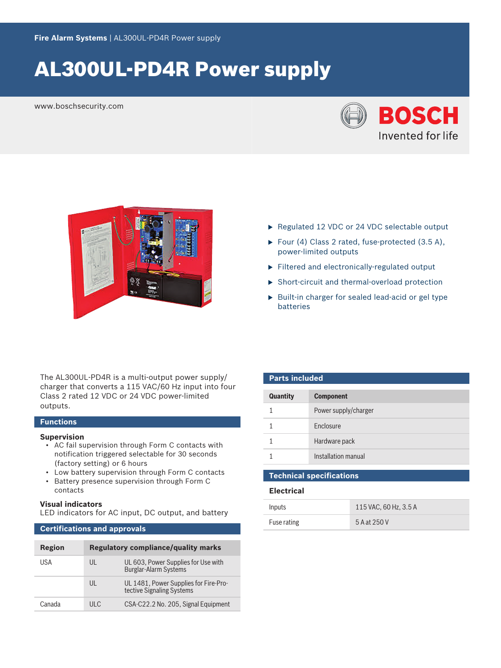# AL300UL-PD4R Power supply

www.boschsecurity.com





- Regulated 12 VDC or 24 VDC selectable output
- ▶ Four (4) Class 2 rated, fuse-protected  $(3.5 A)$ , power‑limited outputs
- $\blacktriangleright$  Filtered and electronically-regulated output
- $\triangleright$  Short-circuit and thermal-overload protection
- $\blacktriangleright$  Built-in charger for sealed lead-acid or gel type batteries

The AL300UL-PD4R is a multi-output power supply/ charger that converts a 115 VAC/60 Hz input into four Class 2 rated 12 VDC or 24 VDC power‑limited outputs.

### **Functions**

#### **Supervision**

- AC fail supervision through Form C contacts with notification triggered selectable for 30 seconds (factory setting) or 6 hours
- Low battery supervision through Form C contacts
- Battery presence supervision through Form C contacts

#### **Visual indicators**

LED indicators for AC input, DC output, and battery

# **Certifications and approvals**

| Region | <b>Regulatory compliance/quality marks</b> |                                                                     |
|--------|--------------------------------------------|---------------------------------------------------------------------|
| USA    | UL                                         | UL 603, Power Supplies for Use with<br><b>Burglar-Alarm Systems</b> |
|        | UL                                         | UL 1481, Power Supplies for Fire-Pro-<br>tective Signaling Systems  |
| Canada | TIL C                                      | CSA-C22.2 No. 205, Signal Equipment                                 |

| <b>Parts included</b> |                      |  |  |
|-----------------------|----------------------|--|--|
| <b>Quantity</b>       | <b>Component</b>     |  |  |
|                       | Power supply/charger |  |  |
|                       | Enclosure            |  |  |
|                       | Hardware pack        |  |  |
|                       | Installation manual  |  |  |

| <b>Electrical</b> |                       |  |
|-------------------|-----------------------|--|
| Inputs            | 115 VAC, 60 Hz, 3.5 A |  |
| Fuse rating       | 5 A at 250 V          |  |

**Technical specifications**